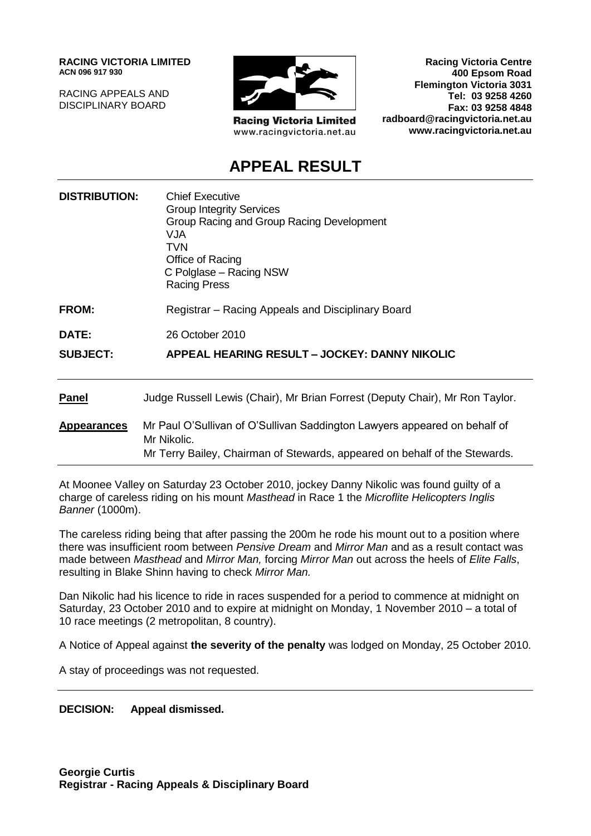**RACING VICTORIA LIMITED ACN 096 917 930**

RACING APPEALS AND DISCIPLINARY BOARD



**Racing Victoria Limited** www.racingvictoria.net.au

**Racing Victoria Centre 400 Epsom Road Flemington Victoria 3031 Tel: 03 9258 4260 Fax: 03 9258 4848 radboard@racingvictoria.net.au www.racingvictoria.net.au**

# **APPEAL RESULT**

| <b>DISTRIBUTION:</b> | <b>Chief Executive</b><br><b>Group Integrity Services</b><br>Group Racing and Group Racing Development<br>VJA.<br><b>TVN</b><br>Office of Racing<br>C Polglase – Racing NSW<br><b>Racing Press</b> |
|----------------------|----------------------------------------------------------------------------------------------------------------------------------------------------------------------------------------------------|
| <b>FROM:</b>         | Registrar – Racing Appeals and Disciplinary Board                                                                                                                                                  |
| <b>DATE:</b>         | 26 October 2010                                                                                                                                                                                    |
| <b>SUBJECT:</b>      | APPEAL HEARING RESULT - JOCKEY: DANNY NIKOLIC                                                                                                                                                      |
| <b>Panel</b>         | Judge Russell Lewis (Chair), Mr Brian Forrest (Deputy Chair), Mr Ron Taylor.                                                                                                                       |
| <b>Appearances</b>   | Mr Paul O'Sullivan of O'Sullivan Saddington Lawyers appeared on behalf of<br>Mr Nikolic.<br>Mr Terry Bailey, Chairman of Stewards, appeared on behalf of the Stewards.                             |

At Moonee Valley on Saturday 23 October 2010, jockey Danny Nikolic was found guilty of a charge of careless riding on his mount *Masthead* in Race 1 the *Microflite Helicopters Inglis Banner* (1000m).

The careless riding being that after passing the 200m he rode his mount out to a position where there was insufficient room between *Pensive Dream* and *Mirror Man* and as a result contact was made between *Masthead* and *Mirror Man,* forcing *Mirror Man* out across the heels of *Elite Falls*, resulting in Blake Shinn having to check *Mirror Man.*

Dan Nikolic had his licence to ride in races suspended for a period to commence at midnight on Saturday, 23 October 2010 and to expire at midnight on Monday, 1 November 2010 – a total of 10 race meetings (2 metropolitan, 8 country).

A Notice of Appeal against **the severity of the penalty** was lodged on Monday, 25 October 2010.

A stay of proceedings was not requested.

**DECISION: Appeal dismissed.**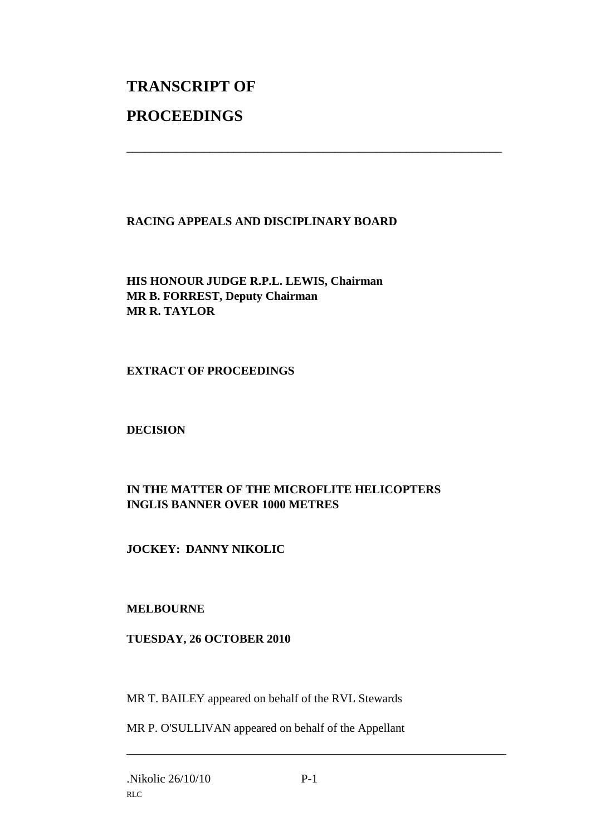# **TRANSCRIPT OF PROCEEDINGS**

# **RACING APPEALS AND DISCIPLINARY BOARD**

\_\_\_\_\_\_\_\_\_\_\_\_\_\_\_\_\_\_\_\_\_\_\_\_\_\_\_\_\_\_\_\_\_\_\_\_\_\_\_\_\_\_\_\_\_\_\_\_\_\_\_\_\_\_\_\_\_\_\_\_\_\_\_

**HIS HONOUR JUDGE R.P.L. LEWIS, Chairman MR B. FORREST, Deputy Chairman MR R. TAYLOR**

## **EXTRACT OF PROCEEDINGS**

**DECISION**

# **IN THE MATTER OF THE MICROFLITE HELICOPTERS INGLIS BANNER OVER 1000 METRES**

**JOCKEY: DANNY NIKOLIC**

# **MELBOURNE**

#### **TUESDAY, 26 OCTOBER 2010**

MR T. BAILEY appeared on behalf of the RVL Stewards

MR P. O'SULLIVAN appeared on behalf of the Appellant